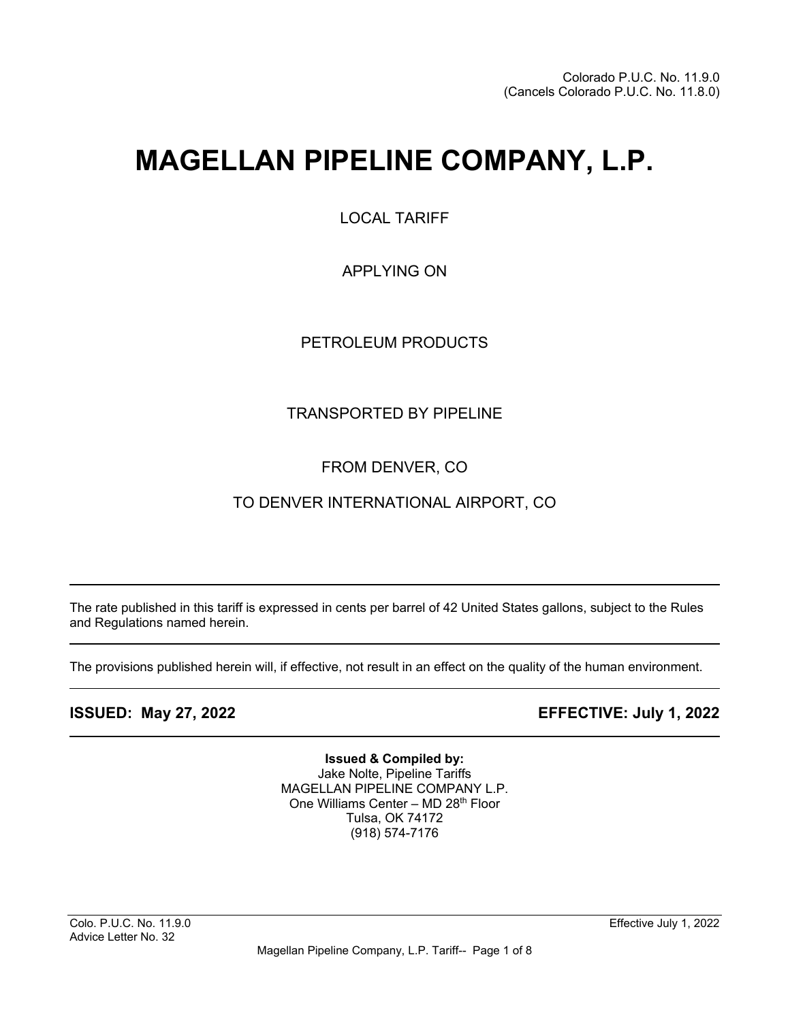# **MAGELLAN PIPELINE COMPANY, L.P.**

LOCAL TARIFF

APPLYING ON

PETROLEUM PRODUCTS

# TRANSPORTED BY PIPELINE

# FROM DENVER, CO

# TO DENVER INTERNATIONAL AIRPORT, CO

The rate published in this tariff is expressed in cents per barrel of 42 United States gallons, subject to the Rules and Regulations named herein.

The provisions published herein will, if effective, not result in an effect on the quality of the human environment.

l

 $\overline{\phantom{a}}$ 

 $\overline{\phantom{a}}$ 

**ISSUED: May 27, 2022 EFFECTIVE: July 1, 2022**

**Issued & Compiled by:** Jake Nolte, Pipeline Tariffs MAGELLAN PIPELINE COMPANY L.P. One Williams Center - MD 28<sup>th</sup> Floor Tulsa, OK 74172 (918) 574-7176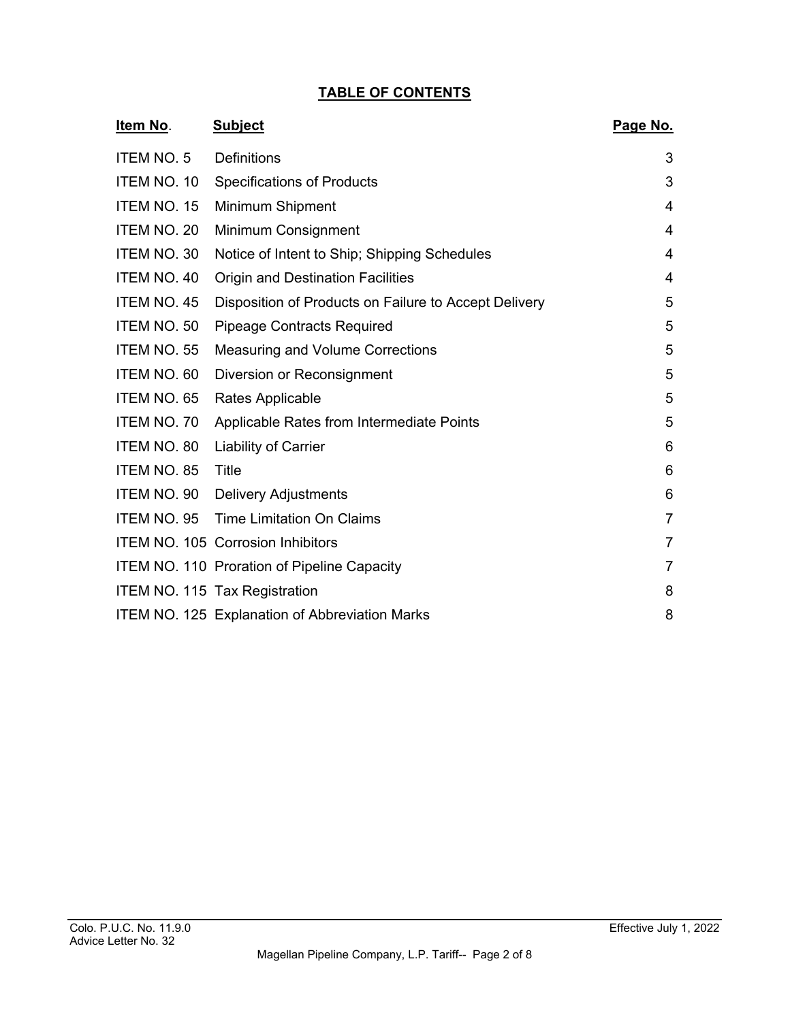## **TABLE OF CONTENTS**

| <u>Item No.</u>    | <b>Subject</b>                                        | Page No.       |
|--------------------|-------------------------------------------------------|----------------|
| <b>ITEM NO. 5</b>  | <b>Definitions</b>                                    | 3              |
| ITEM NO. 10        | <b>Specifications of Products</b>                     | 3              |
| ITEM NO. 15        | <b>Minimum Shipment</b>                               | 4              |
| ITEM NO. 20        | <b>Minimum Consignment</b>                            | 4              |
| ITEM NO. 30        | Notice of Intent to Ship; Shipping Schedules          | 4              |
| ITEM NO. 40        | <b>Origin and Destination Facilities</b>              | 4              |
| <b>ITEM NO. 45</b> | Disposition of Products on Failure to Accept Delivery | 5              |
| ITEM NO. 50        | <b>Pipeage Contracts Required</b>                     | 5              |
| ITEM NO. 55        | <b>Measuring and Volume Corrections</b>               | 5              |
| ITEM NO. 60        | Diversion or Reconsignment                            | 5              |
| ITEM NO. 65        | Rates Applicable                                      | 5              |
| ITEM NO. 70        | Applicable Rates from Intermediate Points             | 5              |
| ITEM NO. 80        | Liability of Carrier                                  | 6              |
| ITEM NO. 85        | Title                                                 | 6              |
| ITEM NO. 90        | <b>Delivery Adjustments</b>                           | 6              |
| ITEM NO. 95        | <b>Time Limitation On Claims</b>                      | $\overline{7}$ |
|                    | ITEM NO. 105 Corrosion Inhibitors                     | 7              |
|                    | <b>ITEM NO. 110 Proration of Pipeline Capacity</b>    | $\overline{7}$ |
|                    | ITEM NO. 115 Tax Registration                         | 8              |
|                    | ITEM NO. 125 Explanation of Abbreviation Marks        | 8              |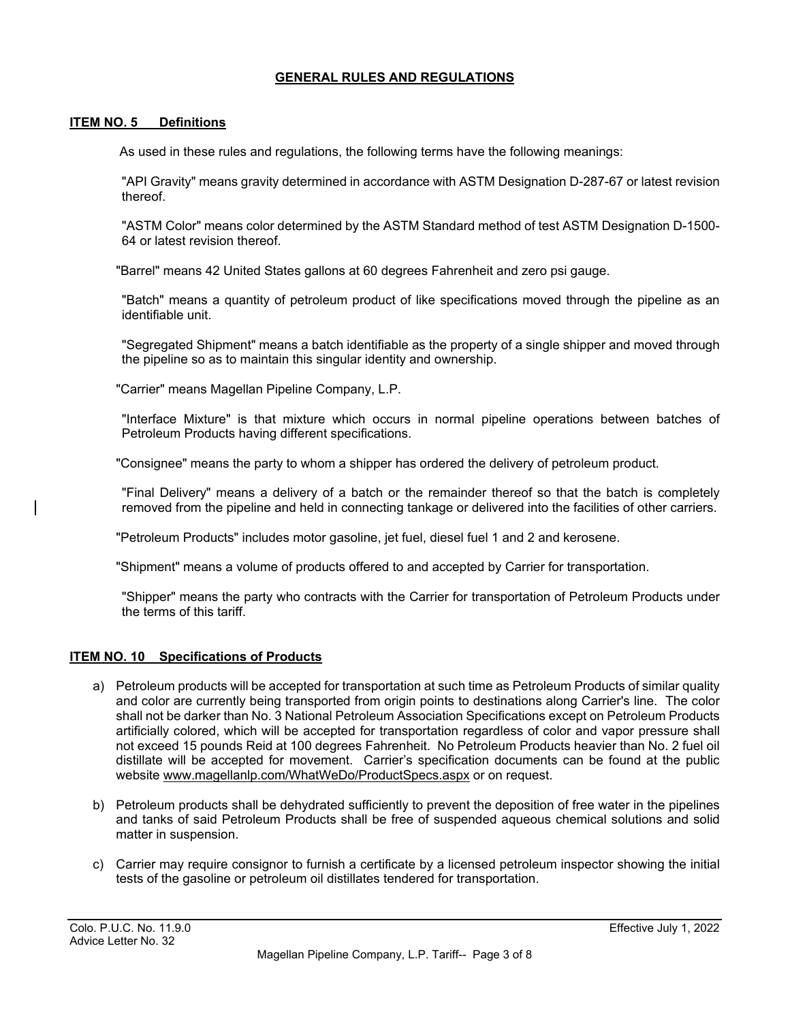### **GENERAL RULES AND REGULATIONS**

#### **ITEM NO. 5 Definitions**

As used in these rules and regulations, the following terms have the following meanings:

"API Gravity" means gravity determined in accordance with ASTM Designation D-287-67 or latest revision thereof.

"ASTM Color" means color determined by the ASTM Standard method of test ASTM Designation D-1500- 64 or latest revision thereof.

"Barrel" means 42 United States gallons at 60 degrees Fahrenheit and zero psi gauge.

"Batch" means a quantity of petroleum product of like specifications moved through the pipeline as an identifiable unit.

"Segregated Shipment" means a batch identifiable as the property of a single shipper and moved through the pipeline so as to maintain this singular identity and ownership.

"Carrier" means Magellan Pipeline Company, L.P.

"Interface Mixture" is that mixture which occurs in normal pipeline operations between batches of Petroleum Products having different specifications.

"Consignee" means the party to whom a shipper has ordered the delivery of petroleum product.

"Final Delivery" means a delivery of a batch or the remainder thereof so that the batch is completely removed from the pipeline and held in connecting tankage or delivered into the facilities of other carriers.

"Petroleum Products" includes motor gasoline, jet fuel, diesel fuel 1 and 2 and kerosene.

"Shipment" means a volume of products offered to and accepted by Carrier for transportation.

"Shipper" means the party who contracts with the Carrier for transportation of Petroleum Products under the terms of this tariff.

#### **ITEM NO. 10 Specifications of Products**

- a) Petroleum products will be accepted for transportation at such time as Petroleum Products of similar quality and color are currently being transported from origin points to destinations along Carrier's line. The color shall not be darker than No. 3 National Petroleum Association Specifications except on Petroleum Products artificially colored, which will be accepted for transportation regardless of color and vapor pressure shall not exceed 15 pounds Reid at 100 degrees Fahrenheit. No Petroleum Products heavier than No. 2 fuel oil distillate will be accepted for movement. Carrier's specification documents can be found at the public website [www.magellanlp.com/WhatWeDo/ProductSpecs.aspx](http://www.magellanlp.com/WhatWeDo/ProductSpecs.aspx) or on request.
- b) Petroleum products shall be dehydrated sufficiently to prevent the deposition of free water in the pipelines and tanks of said Petroleum Products shall be free of suspended aqueous chemical solutions and solid matter in suspension.
- c) Carrier may require consignor to furnish a certificate by a licensed petroleum inspector showing the initial tests of the gasoline or petroleum oil distillates tendered for transportation.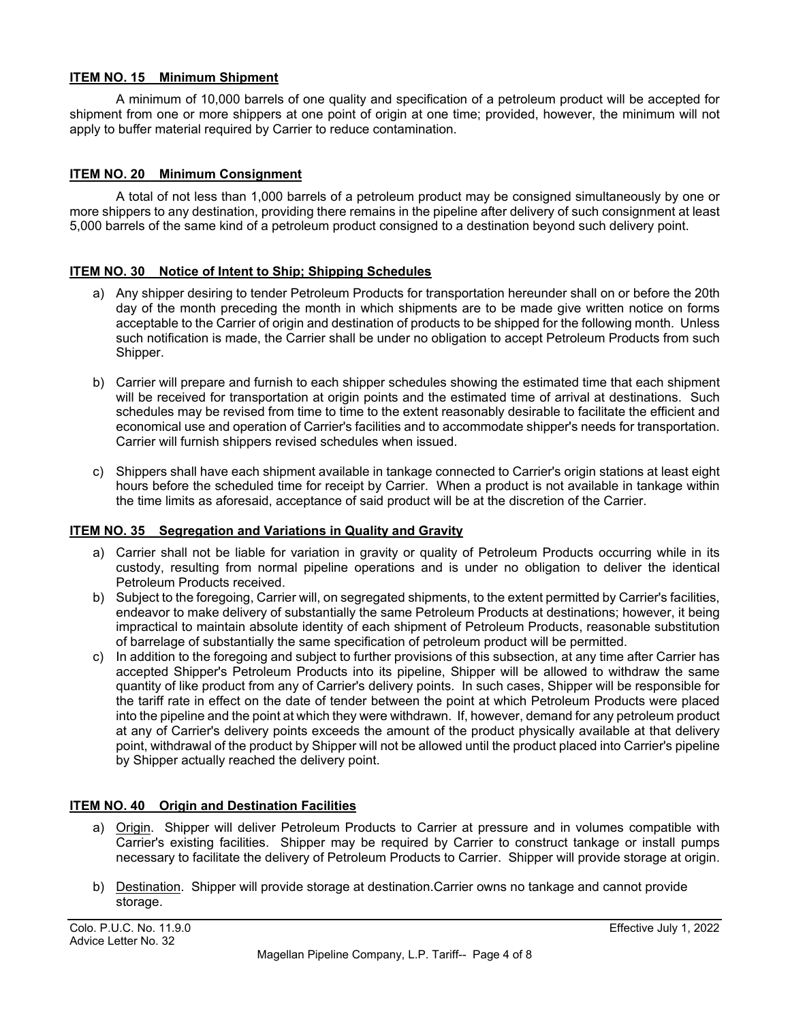#### **ITEM NO. 15 Minimum Shipment**

A minimum of 10,000 barrels of one quality and specification of a petroleum product will be accepted for shipment from one or more shippers at one point of origin at one time; provided, however, the minimum will not apply to buffer material required by Carrier to reduce contamination.

#### **ITEM NO. 20 Minimum Consignment**

A total of not less than 1,000 barrels of a petroleum product may be consigned simultaneously by one or more shippers to any destination, providing there remains in the pipeline after delivery of such consignment at least 5,000 barrels of the same kind of a petroleum product consigned to a destination beyond such delivery point.

#### **ITEM NO. 30 Notice of Intent to Ship; Shipping Schedules**

- a) Any shipper desiring to tender Petroleum Products for transportation hereunder shall on or before the 20th day of the month preceding the month in which shipments are to be made give written notice on forms acceptable to the Carrier of origin and destination of products to be shipped for the following month. Unless such notification is made, the Carrier shall be under no obligation to accept Petroleum Products from such Shipper.
- b) Carrier will prepare and furnish to each shipper schedules showing the estimated time that each shipment will be received for transportation at origin points and the estimated time of arrival at destinations. Such schedules may be revised from time to time to the extent reasonably desirable to facilitate the efficient and economical use and operation of Carrier's facilities and to accommodate shipper's needs for transportation. Carrier will furnish shippers revised schedules when issued.
- c) Shippers shall have each shipment available in tankage connected to Carrier's origin stations at least eight hours before the scheduled time for receipt by Carrier. When a product is not available in tankage within the time limits as aforesaid, acceptance of said product will be at the discretion of the Carrier.

#### **ITEM NO. 35 Segregation and Variations in Quality and Gravity**

- a) Carrier shall not be liable for variation in gravity or quality of Petroleum Products occurring while in its custody, resulting from normal pipeline operations and is under no obligation to deliver the identical Petroleum Products received.
- b) Subject to the foregoing, Carrier will, on segregated shipments, to the extent permitted by Carrier's facilities, endeavor to make delivery of substantially the same Petroleum Products at destinations; however, it being impractical to maintain absolute identity of each shipment of Petroleum Products, reasonable substitution of barrelage of substantially the same specification of petroleum product will be permitted.
- c) In addition to the foregoing and subject to further provisions of this subsection, at any time after Carrier has accepted Shipper's Petroleum Products into its pipeline, Shipper will be allowed to withdraw the same quantity of like product from any of Carrier's delivery points. In such cases, Shipper will be responsible for the tariff rate in effect on the date of tender between the point at which Petroleum Products were placed into the pipeline and the point at which they were withdrawn. If, however, demand for any petroleum product at any of Carrier's delivery points exceeds the amount of the product physically available at that delivery point, withdrawal of the product by Shipper will not be allowed until the product placed into Carrier's pipeline by Shipper actually reached the delivery point.

#### **ITEM NO. 40 Origin and Destination Facilities**

- a) Origin. Shipper will deliver Petroleum Products to Carrier at pressure and in volumes compatible with Carrier's existing facilities. Shipper may be required by Carrier to construct tankage or install pumps necessary to facilitate the delivery of Petroleum Products to Carrier. Shipper will provide storage at origin.
- b) Destination. Shipper will provide storage at destination.Carrier owns no tankage and cannot provide storage.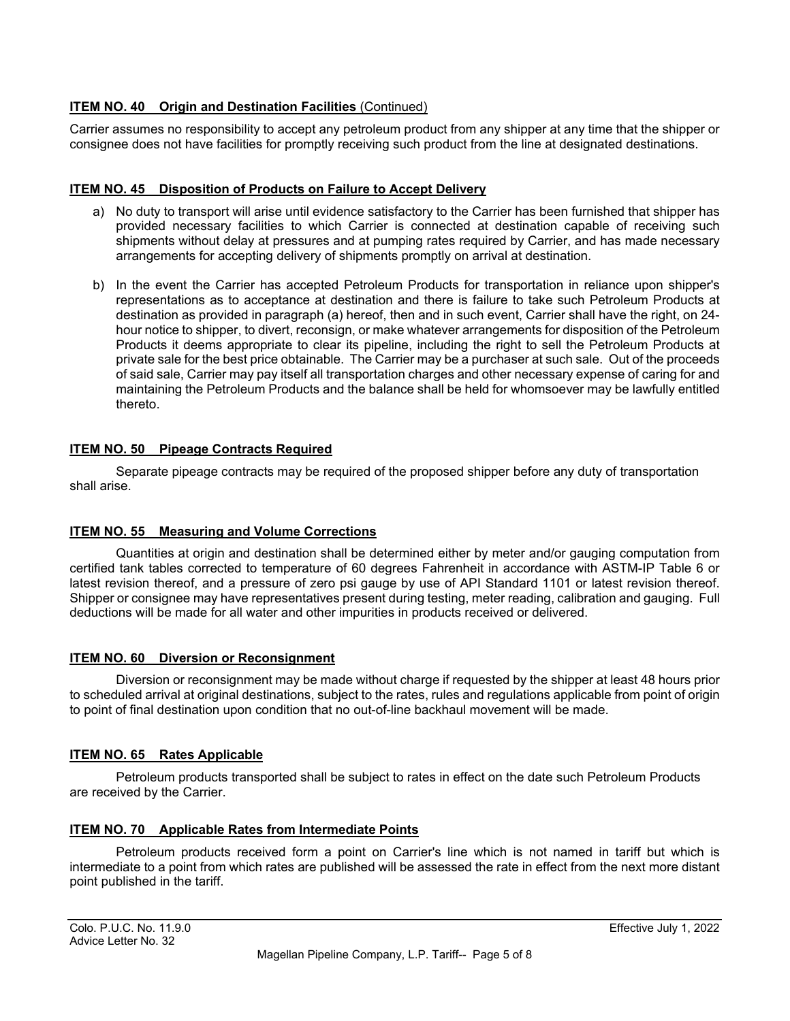### **ITEM NO. 40 Origin and Destination Facilities** (Continued)

Carrier assumes no responsibility to accept any petroleum product from any shipper at any time that the shipper or consignee does not have facilities for promptly receiving such product from the line at designated destinations.

#### **ITEM NO. 45 Disposition of Products on Failure to Accept Delivery**

- a) No duty to transport will arise until evidence satisfactory to the Carrier has been furnished that shipper has provided necessary facilities to which Carrier is connected at destination capable of receiving such shipments without delay at pressures and at pumping rates required by Carrier, and has made necessary arrangements for accepting delivery of shipments promptly on arrival at destination.
- b) In the event the Carrier has accepted Petroleum Products for transportation in reliance upon shipper's representations as to acceptance at destination and there is failure to take such Petroleum Products at destination as provided in paragraph (a) hereof, then and in such event, Carrier shall have the right, on 24 hour notice to shipper, to divert, reconsign, or make whatever arrangements for disposition of the Petroleum Products it deems appropriate to clear its pipeline, including the right to sell the Petroleum Products at private sale for the best price obtainable. The Carrier may be a purchaser at such sale. Out of the proceeds of said sale, Carrier may pay itself all transportation charges and other necessary expense of caring for and maintaining the Petroleum Products and the balance shall be held for whomsoever may be lawfully entitled thereto.

#### **ITEM NO. 50 Pipeage Contracts Required**

Separate pipeage contracts may be required of the proposed shipper before any duty of transportation shall arise.

#### **ITEM NO. 55 Measuring and Volume Corrections**

Quantities at origin and destination shall be determined either by meter and/or gauging computation from certified tank tables corrected to temperature of 60 degrees Fahrenheit in accordance with ASTM-IP Table 6 or latest revision thereof, and a pressure of zero psi gauge by use of API Standard 1101 or latest revision thereof. Shipper or consignee may have representatives present during testing, meter reading, calibration and gauging. Full deductions will be made for all water and other impurities in products received or delivered.

#### **ITEM NO. 60 Diversion or Reconsignment**

Diversion or reconsignment may be made without charge if requested by the shipper at least 48 hours prior to scheduled arrival at original destinations, subject to the rates, rules and regulations applicable from point of origin to point of final destination upon condition that no out-of-line backhaul movement will be made.

#### **ITEM NO. 65 Rates Applicable**

Petroleum products transported shall be subject to rates in effect on the date such Petroleum Products are received by the Carrier.

#### **ITEM NO. 70 Applicable Rates from Intermediate Points**

Petroleum products received form a point on Carrier's line which is not named in tariff but which is intermediate to a point from which rates are published will be assessed the rate in effect from the next more distant point published in the tariff.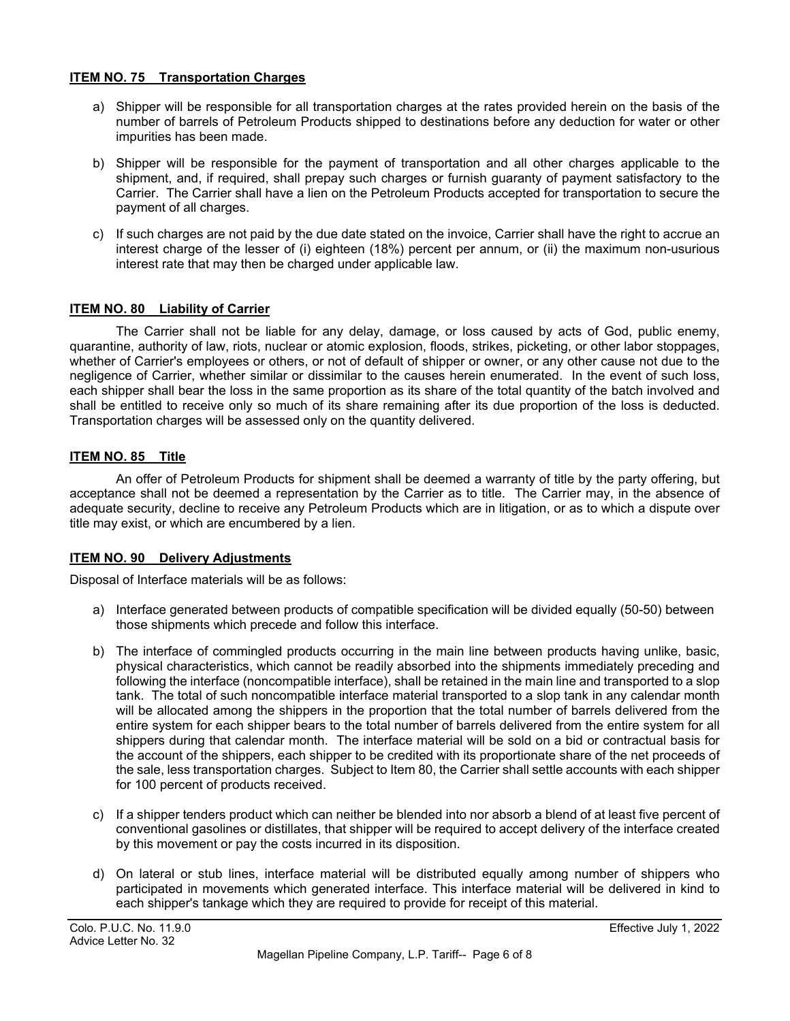#### **ITEM NO. 75 Transportation Charges**

- a) Shipper will be responsible for all transportation charges at the rates provided herein on the basis of the number of barrels of Petroleum Products shipped to destinations before any deduction for water or other impurities has been made.
- b) Shipper will be responsible for the payment of transportation and all other charges applicable to the shipment, and, if required, shall prepay such charges or furnish guaranty of payment satisfactory to the Carrier. The Carrier shall have a lien on the Petroleum Products accepted for transportation to secure the payment of all charges.
- c) If such charges are not paid by the due date stated on the invoice, Carrier shall have the right to accrue an interest charge of the lesser of (i) eighteen (18%) percent per annum, or (ii) the maximum non-usurious interest rate that may then be charged under applicable law.

#### **ITEM NO. 80 Liability of Carrier**

The Carrier shall not be liable for any delay, damage, or loss caused by acts of God, public enemy, quarantine, authority of law, riots, nuclear or atomic explosion, floods, strikes, picketing, or other labor stoppages, whether of Carrier's employees or others, or not of default of shipper or owner, or any other cause not due to the negligence of Carrier, whether similar or dissimilar to the causes herein enumerated. In the event of such loss, each shipper shall bear the loss in the same proportion as its share of the total quantity of the batch involved and shall be entitled to receive only so much of its share remaining after its due proportion of the loss is deducted. Transportation charges will be assessed only on the quantity delivered.

#### **ITEM NO. 85 Title**

An offer of Petroleum Products for shipment shall be deemed a warranty of title by the party offering, but acceptance shall not be deemed a representation by the Carrier as to title. The Carrier may, in the absence of adequate security, decline to receive any Petroleum Products which are in litigation, or as to which a dispute over title may exist, or which are encumbered by a lien.

#### **ITEM NO. 90 Delivery Adjustments**

Disposal of Interface materials will be as follows:

- a) Interface generated between products of compatible specification will be divided equally (50-50) between those shipments which precede and follow this interface.
- b) The interface of commingled products occurring in the main line between products having unlike, basic, physical characteristics, which cannot be readily absorbed into the shipments immediately preceding and following the interface (noncompatible interface), shall be retained in the main line and transported to a slop tank. The total of such noncompatible interface material transported to a slop tank in any calendar month will be allocated among the shippers in the proportion that the total number of barrels delivered from the entire system for each shipper bears to the total number of barrels delivered from the entire system for all shippers during that calendar month. The interface material will be sold on a bid or contractual basis for the account of the shippers, each shipper to be credited with its proportionate share of the net proceeds of the sale, less transportation charges. Subject to Item 80, the Carrier shall settle accounts with each shipper for 100 percent of products received.
- c) If a shipper tenders product which can neither be blended into nor absorb a blend of at least five percent of conventional gasolines or distillates, that shipper will be required to accept delivery of the interface created by this movement or pay the costs incurred in its disposition.
- d) On lateral or stub lines, interface material will be distributed equally among number of shippers who participated in movements which generated interface. This interface material will be delivered in kind to each shipper's tankage which they are required to provide for receipt of this material.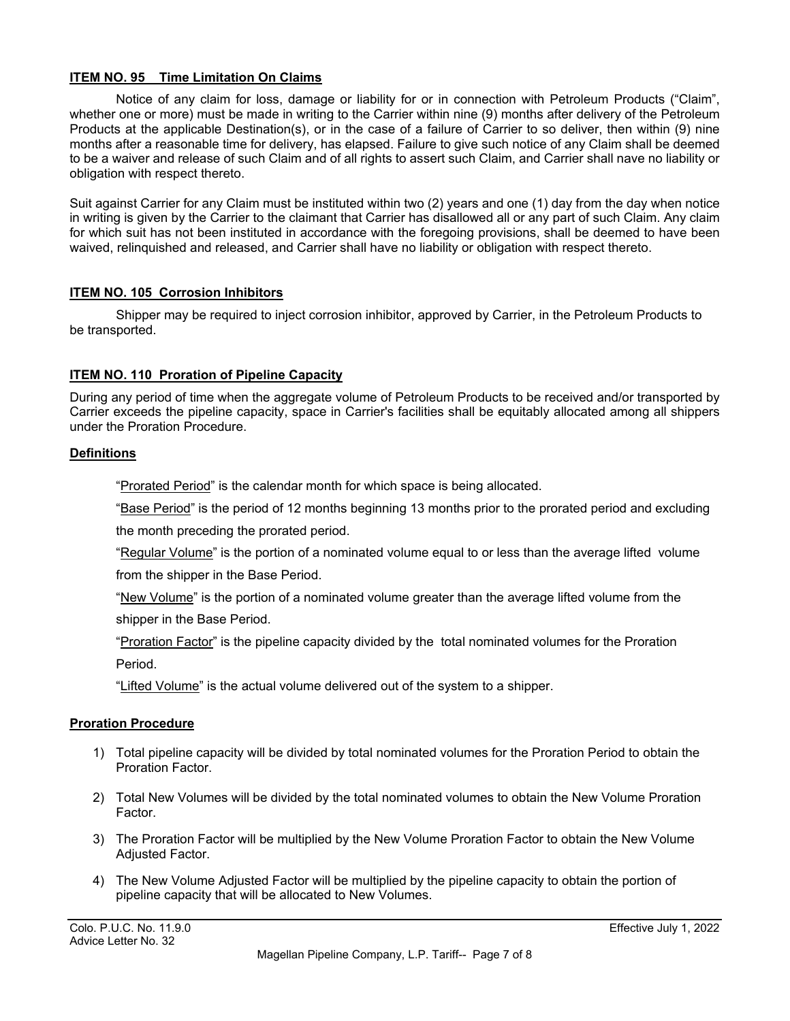#### **ITEM NO. 95 Time Limitation On Claims**

Notice of any claim for loss, damage or liability for or in connection with Petroleum Products ("Claim", whether one or more) must be made in writing to the Carrier within nine (9) months after delivery of the Petroleum Products at the applicable Destination(s), or in the case of a failure of Carrier to so deliver, then within (9) nine months after a reasonable time for delivery, has elapsed. Failure to give such notice of any Claim shall be deemed to be a waiver and release of such Claim and of all rights to assert such Claim, and Carrier shall nave no liability or obligation with respect thereto.

Suit against Carrier for any Claim must be instituted within two (2) years and one (1) day from the day when notice in writing is given by the Carrier to the claimant that Carrier has disallowed all or any part of such Claim. Any claim for which suit has not been instituted in accordance with the foregoing provisions, shall be deemed to have been waived, relinquished and released, and Carrier shall have no liability or obligation with respect thereto.

#### **ITEM NO. 105 Corrosion Inhibitors**

Shipper may be required to inject corrosion inhibitor, approved by Carrier, in the Petroleum Products to be transported.

#### **ITEM NO. 110 Proration of Pipeline Capacity**

During any period of time when the aggregate volume of Petroleum Products to be received and/or transported by Carrier exceeds the pipeline capacity, space in Carrier's facilities shall be equitably allocated among all shippers under the Proration Procedure.

#### **Definitions**

"Prorated Period" is the calendar month for which space is being allocated.

"Base Period" is the period of 12 months beginning 13 months prior to the prorated period and excluding

the month preceding the prorated period.

"Regular Volume" is the portion of a nominated volume equal to or less than the average lifted volume from the shipper in the Base Period.

"New Volume" is the portion of a nominated volume greater than the average lifted volume from the shipper in the Base Period.

"Proration Factor" is the pipeline capacity divided by the total nominated volumes for the Proration Period.

"Lifted Volume" is the actual volume delivered out of the system to a shipper.

#### **Proration Procedure**

- 1) Total pipeline capacity will be divided by total nominated volumes for the Proration Period to obtain the Proration Factor.
- 2) Total New Volumes will be divided by the total nominated volumes to obtain the New Volume Proration Factor.
- 3) The Proration Factor will be multiplied by the New Volume Proration Factor to obtain the New Volume Adjusted Factor.
- 4) The New Volume Adjusted Factor will be multiplied by the pipeline capacity to obtain the portion of pipeline capacity that will be allocated to New Volumes.